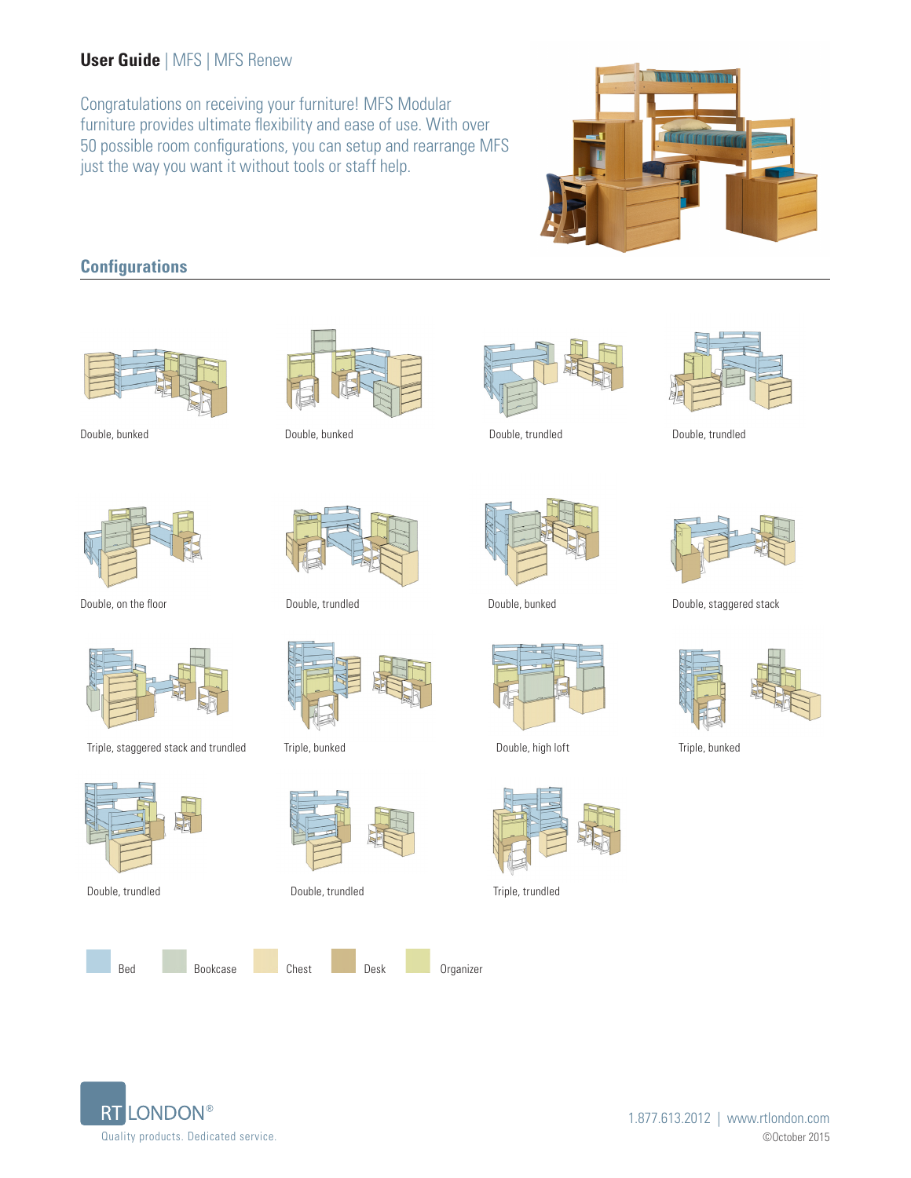# **User Guide** | MFS | MFS Renew

Congratulations on receiving your furniture! MFS Modular furniture provides ultimate flexibility and ease of use. With over 50 possible room configurations, you can setup and rearrange MFS just the way you want it without tools or staff help.



# **Configurations**





Double, on the floor



Triple, staggered stack and trundled Triple, bunked Double, high loft Triple, bunked Triple, bunked









Triple, bunked



Double, trundled Double, trundled Triple, trundled





Double, bunked Double, bunked Double, trundled Double, trundled











Double, trundled **Double, bunked** Double, bunked Double, staggered stack